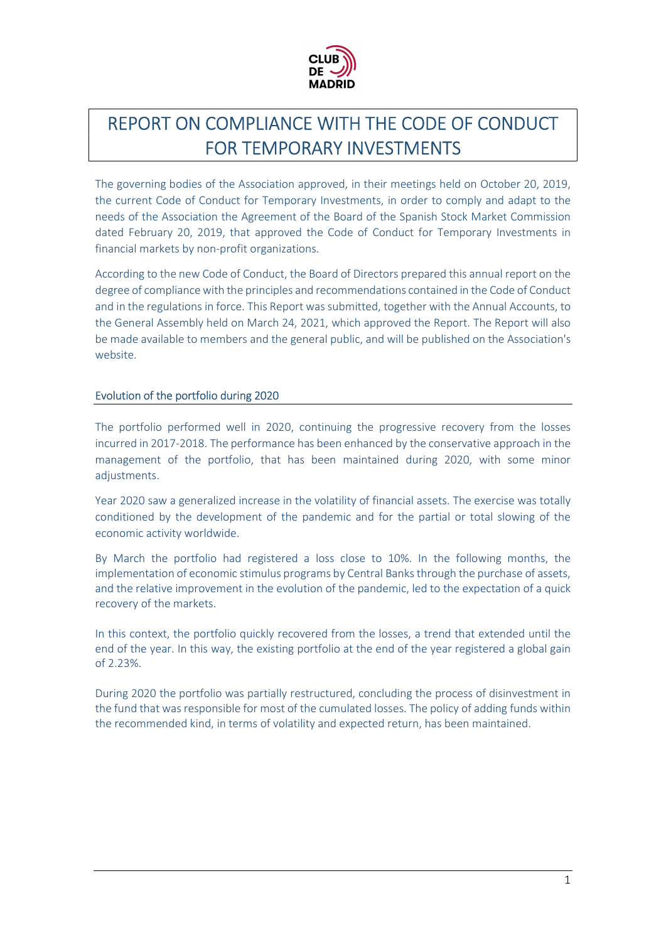

# REPORT ON COMPLIANCE WITH THE CODE OF CONDUCT FOR TEMPORARY INVESTMENTS

The governing bodies of the Association approved, in their meetings held on October 20, 2019, the current Code of Conduct for Temporary Investments, in order to comply and adapt to the needs of the Association the Agreement of the Board of the Spanish Stock Market Commission dated February 20, 2019, that approved the Code of Conduct for Temporary Investments in financial markets by non-profit organizations.

According to the new Code of Conduct, the Board of Directors prepared this annual report on the degree of compliance with the principles and recommendations contained in the Code of Conduct and in the regulations in force. This Report was submitted, together with the Annual Accounts, to the General Assembly held on March 24, 2021, which approved the Report. The Report will also be made available to members and the general public, and will be published on the Association's website.

## Evolution of the portfolio during 2020

The portfolio performed well in 2020, continuing the progressive recovery from the losses incurred in 2017-2018. The performance has been enhanced by the conservative approach in the management of the portfolio, that has been maintained during 2020, with some minor adjustments.

Year 2020 saw a generalized increase in the volatility of financial assets. The exercise was totally conditioned by the development of the pandemic and for the partial or total slowing of the economic activity worldwide.

By March the portfolio had registered a loss close to 10%. In the following months, the implementation of economic stimulus programs by Central Banks through the purchase of assets, and the relative improvement in the evolution of the pandemic, led to the expectation of a quick recovery of the markets.

In this context, the portfolio quickly recovered from the losses, a trend that extended until the end of the year. In this way, the existing portfolio at the end of the year registered a global gain of 2.23%.

During 2020 the portfolio was partially restructured, concluding the process of disinvestment in the fund that was responsible for most of the cumulated losses. The policy of adding funds within the recommended kind, in terms of volatility and expected return, has been maintained.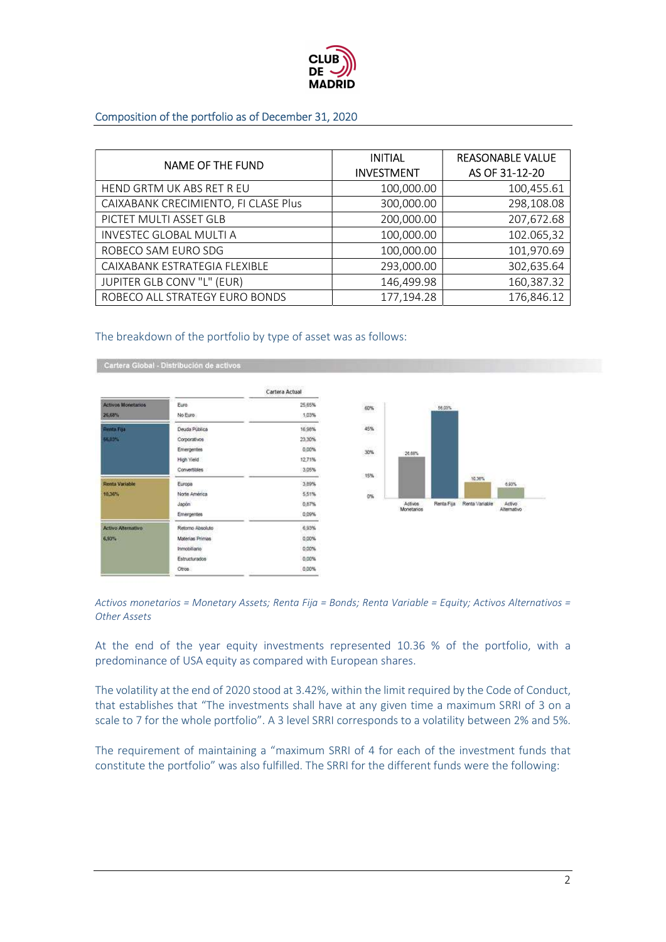

### Composition of the portfolio as of December 31, 2020

| <b>NAME OF THE FUND</b>              | <b>INITIAL</b><br><b>INVESTMENT</b> | <b>REASONABLE VALUE</b><br>AS OF 31-12-20 |
|--------------------------------------|-------------------------------------|-------------------------------------------|
| HEND GRTM UK ABS RET R EU            | 100,000.00                          | 100,455.61                                |
| CAIXABANK CRECIMIENTO, FI CLASE Plus | 300,000.00                          | 298,108.08                                |
| PICTET MULTI ASSET GLB               | 200,000.00                          | 207,672.68                                |
| <b>INVESTEC GLOBAL MULTI A</b>       | 100,000.00                          | 102.065,32                                |
| ROBECO SAM EURO SDG                  | 100,000.00                          | 101,970.69                                |
| CAIXABANK ESTRATEGIA FLEXIBLE        | 293,000.00                          | 302,635.64                                |
| JUPITER GLB CONV "L" (EUR)           | 146,499.98                          | 160,387.32                                |
| ROBECO ALL STRATEGY EURO BONDS       | 177,194.28                          | 176,846.12                                |

#### The breakdown of the portfolio by type of asset was as follows:

|                           |                   | Cartera Actual |  |
|---------------------------|-------------------|----------------|--|
| <b>Activos Monetarios</b> | Euro              | 25.65%         |  |
| 26,68%                    | No Euro           | 1,03%          |  |
| <b>Renta Fija</b>         | Deuda Pública     | 16,98%         |  |
| 56,03%                    | Corporativos      | 23.30%         |  |
|                           | <b>Emergentes</b> | 0.00%          |  |
|                           | High Yield        | 12.71%         |  |
|                           | Convertibles      | 3.05%          |  |
| <b>Renta Variable</b>     | Europa            | 3,89%          |  |
| 10,36%                    | Norte América     | 5.51%          |  |
|                           | Japón:            | 0.87%          |  |
|                           | <b>Emergentes</b> | 0,09%          |  |
| <b>Activo Alternativo</b> | Retorno Absoluto  | 6.93%          |  |
| 6,93%                     | Materias Primas   | 0.00%          |  |
|                           | Inntobiliario     | 0.00%          |  |
|                           | Estructurados     | 0.00%          |  |
|                           | Otros             | 0.00%          |  |

Cartera Global - Distribución de activos



Activos monetarios = Monetary Assets; Renta Fija = Bonds; Renta Variable = Equity; Activos Alternativos = Other Assets

At the end of the year equity investments represented 10.36 % of the portfolio, with a predominance of USA equity as compared with European shares.

The volatility at the end of 2020 stood at 3.42%, within the limit required by the Code of Conduct, that establishes that "The investments shall have at any given time a maximum SRRI of 3 on a scale to 7 for the whole portfolio". A 3 level SRRI corresponds to a volatility between 2% and 5%.

The requirement of maintaining a "maximum SRRI of 4 for each of the investment funds that constitute the portfolio" was also fulfilled. The SRRI for the different funds were the following: